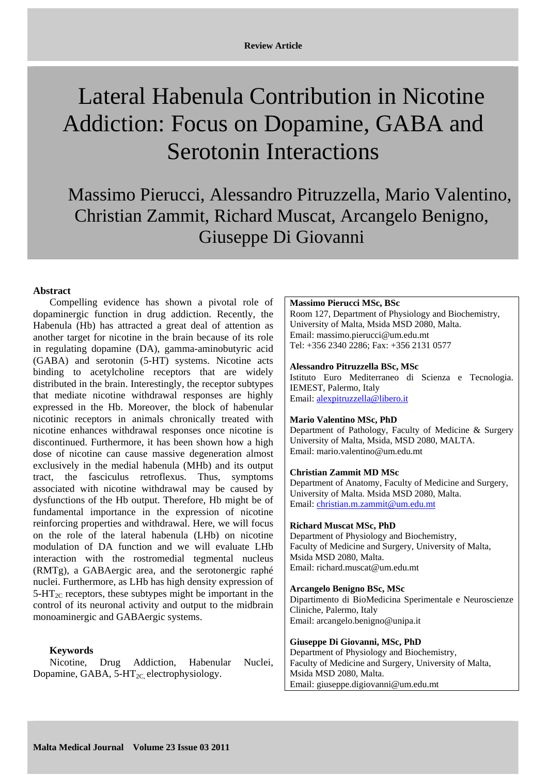# Lateral Habenula Contribution in Nicotine Addiction: Focus on Dopamine, GABA and Serotonin Interactions

Massimo Pierucci, Alessandro Pitruzzella, Mario Valentino, Christian Zammit, Richard Muscat, Arcangelo Benigno, Giuseppe Di Giovanni

# **Abstract**

Compelling evidence has shown a pivotal role of dopaminergic function in drug addiction. Recently, the Habenula (Hb) has attracted a great deal of attention as another target for nicotine in the brain because of its role in regulating dopamine (DA), gamma-aminobutyric acid (GABA) and serotonin (5-HT) systems. Nicotine acts binding to acetylcholine receptors that are widely distributed in the brain. Interestingly, the receptor subtypes that mediate nicotine withdrawal responses are highly expressed in the Hb. Moreover, the block of habenular nicotinic receptors in animals chronically treated with nicotine enhances withdrawal responses once nicotine is discontinued. Furthermore, it has been shown how a high dose of nicotine can cause massive degeneration almost exclusively in the medial habenula (MHb) and its output tract, the fasciculus retroflexus. Thus, symptoms associated with nicotine withdrawal may be caused by dysfunctions of the Hb output. Therefore, Hb might be of fundamental importance in the expression of nicotine reinforcing properties and withdrawal. Here, we will focus on the role of the lateral habenula (LHb) on nicotine modulation of DA function and we will evaluate LHb interaction with the rostromedial tegmental nucleus (RMTg), a GABAergic area, and the serotonergic raphé nuclei. Furthermore, as LHb has high density expression of  $5-\text{HT}_{2C}$  receptors, these subtypes might be important in the control of its neuronal activity and output to the midbrain monoaminergic and GABAergic systems.

## **Keywords**

Nicotine, Drug Addiction, Habenular Nuclei, Dopamine, GABA,  $5-HT_{2C}$  electrophysiology.

#### **Massimo Pierucci MSc, BSc**

Room 127, Department of Physiology and Biochemistry, University of Malta, Msida MSD 2080, Malta. Email: massimo.pierucci@um.edu.mt Tel: +356 2340 2286; Fax: +356 2131 0577

### **Alessandro Pitruzzella BSc, MSc**

Istituto Euro Mediterraneo di Scienza e Tecnologia. IEMEST, Palermo, Italy Email: alexpitruzzella@libero.it

#### **Mario Valentino MSc, PhD**

Department of Pathology, Faculty of Medicine & Surgery University of Malta, Msida, MSD 2080, MALTA. Email: mario.valentino@um.edu.mt

#### **Christian Zammit MD MSc**

Department of Anatomy, Faculty of Medicine and Surgery, University of Malta. Msida MSD 2080, Malta. Email: christian.m.zammit@um.edu.mt

#### **Richard Muscat MSc, PhD**

Department of Physiology and Biochemistry, Faculty of Medicine and Surgery, University of Malta, Msida MSD 2080, Malta. Email: richard.muscat@um.edu.mt

### **Arcangelo Benigno BSc, MSc**

Dipartimento di BioMedicina Sperimentale e Neuroscienze Cliniche, Palermo, Italy Email: arcangelo.benigno@unipa.it

#### **Giuseppe Di Giovanni, MSc, PhD**

Department of Physiology and Biochemistry, Faculty of Medicine and Surgery, University of Malta, Msida MSD 2080, Malta. Email: giuseppe.digiovanni@um.edu.mt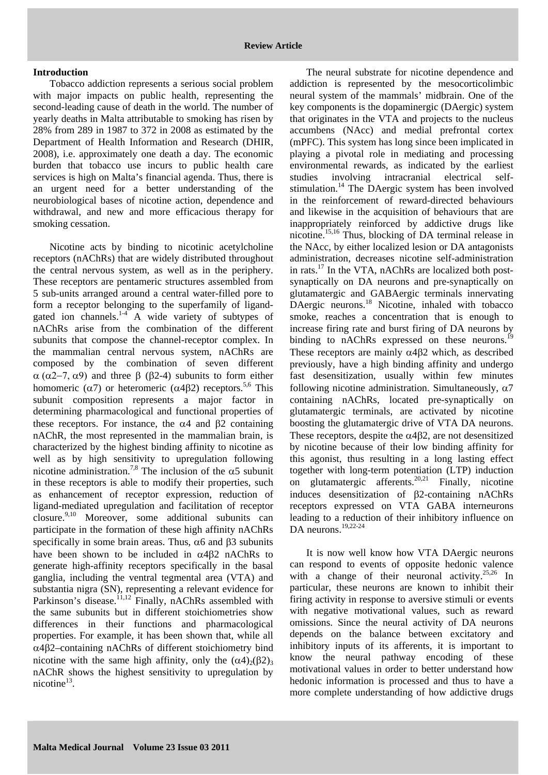## **Introduction**

Tobacco addiction represents a serious social problem with major impacts on public health, representing the second-leading cause of death in the world. The number of yearly deaths in Malta attributable to smoking has risen by 28% from 289 in 1987 to 372 in 2008 as estimated by the Department of Health Information and Research (DHIR, 2008), i.e. approximately one death a day. The economic burden that tobacco use incurs to public health care services is high on Malta's financial agenda. Thus, there is an urgent need for a better understanding of the neurobiological bases of nicotine action, dependence and withdrawal, and new and more efficacious therapy for smoking cessation.

Nicotine acts by binding to nicotinic acetylcholine receptors (nAChRs) that are widely distributed throughout the central nervous system, as well as in the periphery. These receptors are pentameric structures assembled from 5 sub-units arranged around a central water-filled pore to form a receptor belonging to the superfamily of ligandgated ion channels. $14$  A wide variety of subtypes of nAChRs arise from the combination of the different subunits that compose the channel-receptor complex. In the mammalian central nervous system, nAChRs are composed by the combination of seven different α (α2−7, α9) and three β (β2-4) subunits to form either homomeric ( $\alpha$ 7) or heteromeric ( $\alpha$ 4β2) receptors.<sup>5,6</sup> This subunit composition represents a major factor in determining pharmacological and functional properties of these receptors. For instance, the  $\alpha$ 4 and  $\beta$ 2 containing nAChR, the most represented in the mammalian brain, is characterized by the highest binding affinity to nicotine as well as by high sensitivity to upregulation following nicotine administration.<sup>7,8</sup> The inclusion of the  $\alpha$ 5 subunit in these receptors is able to modify their properties, such as enhancement of receptor expression, reduction of ligand-mediated upregulation and facilitation of receptor closure.9,10 Moreover, some additional subunits can participate in the formation of these high affinity nAChRs specifically in some brain areas. Thus,  $\alpha$ 6 and  $\beta$ 3 subunits have been shown to be included in  $\alpha$ 4 $\beta$ 2 nAChRs to generate high-affinity receptors specifically in the basal ganglia, including the ventral tegmental area (VTA) and substantia nigra (SN), representing a relevant evidence for Parkinson's disease.<sup>11,12</sup> Finally, nAChRs assembled with the same subunits but in different stoichiometries show differences in their functions and pharmacological properties. For example, it has been shown that, while all α4β2–containing nAChRs of different stoichiometry bind nicotine with the same high affinity, only the  $(\alpha 4)_{2}(\beta 2)_{3}$ nAChR shows the highest sensitivity to upregulation by nicotine $13$ .

The neural substrate for nicotine dependence and addiction is represented by the mesocorticolimbic neural system of the mammals' midbrain. One of the key components is the dopaminergic (DAergic) system that originates in the VTA and projects to the nucleus accumbens (NAcc) and medial prefrontal cortex (mPFC). This system has long since been implicated in playing a pivotal role in mediating and processing environmental rewards, as indicated by the earliest studies involving intracranial electrical selfstimulation.<sup>14</sup> The DAergic system has been involved in the reinforcement of reward-directed behaviours and likewise in the acquisition of behaviours that are inappropriately reinforced by addictive drugs like nicotine.15,16 Thus, blocking of DA terminal release in the NAcc, by either localized lesion or DA antagonists administration, decreases nicotine self-administration in rats.17 In the VTA, nAChRs are localized both postsynaptically on DA neurons and pre-synaptically on glutamatergic and GABAergic terminals innervating DAergic neurons.<sup>18</sup> Nicotine, inhaled with tobacco smoke, reaches a concentration that is enough to increase firing rate and burst firing of DA neurons by binding to nAChRs expressed on these neurons.<sup>1</sup> These receptors are mainly  $\alpha$ 4 $\beta$ 2 which, as described previously, have a high binding affinity and undergo fast desensitization, usually within few minutes following nicotine administration. Simultaneously,  $\alpha$ 7 containing nAChRs, located pre-synaptically on glutamatergic terminals, are activated by nicotine boosting the glutamatergic drive of VTA DA neurons. These receptors, despite the  $\alpha$ 4 $\beta$ 2, are not desensitized by nicotine because of their low binding affinity for this agonist, thus resulting in a long lasting effect together with long-term potentiation (LTP) induction on glutamatergic afferents.<sup>20,21</sup> Finally, nicotine induces desensitization of β2-containing nAChRs receptors expressed on VTA GABA interneurons leading to a reduction of their inhibitory influence on DA neurons.<sup>19,22-24</sup>

It is now well know how VTA DAergic neurons can respond to events of opposite hedonic valence with a change of their neuronal activity.<sup>25,26</sup> In particular, these neurons are known to inhibit their firing activity in response to aversive stimuli or events with negative motivational values, such as reward omissions. Since the neural activity of DA neurons depends on the balance between excitatory and inhibitory inputs of its afferents, it is important to know the neural pathway encoding of these motivational values in order to better understand how hedonic information is processed and thus to have a more complete understanding of how addictive drugs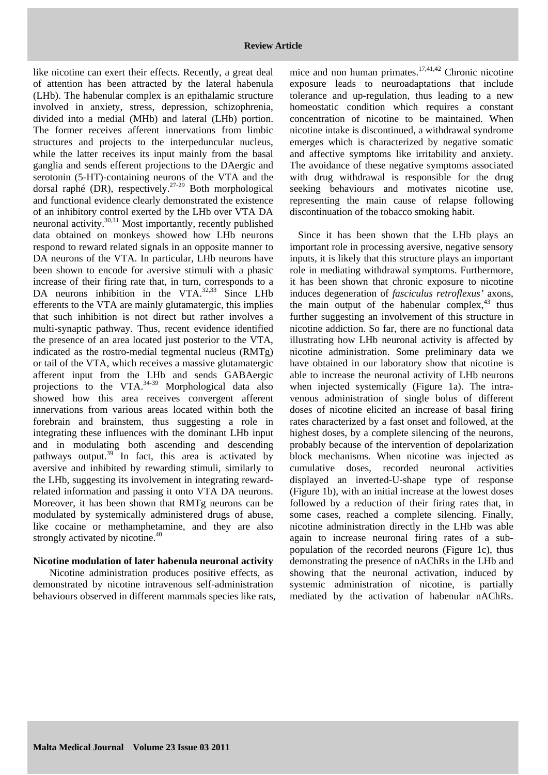like nicotine can exert their effects. Recently, a great deal of attention has been attracted by the lateral habenula (LHb). The habenular complex is an epithalamic structure involved in anxiety, stress, depression, schizophrenia, divided into a medial (MHb) and lateral (LHb) portion. The former receives afferent innervations from limbic structures and projects to the interpeduncular nucleus, while the latter receives its input mainly from the basal ganglia and sends efferent projections to the DAergic and serotonin (5-HT)-containing neurons of the VTA and the dorsal raphé (DR), respectively.27-29 Both morphological and functional evidence clearly demonstrated the existence of an inhibitory control exerted by the LHb over VTA DA neuronal activity.30,31 Most importantly, recently published data obtained on monkeys showed how LHb neurons respond to reward related signals in an opposite manner to DA neurons of the VTA. In particular, LHb neurons have been shown to encode for aversive stimuli with a phasic increase of their firing rate that, in turn, corresponds to a DA neurons inhibition in the VTA. $32,33$  Since LHb efferents to the VTA are mainly glutamatergic, this implies that such inhibition is not direct but rather involves a multi-synaptic pathway. Thus, recent evidence identified the presence of an area located just posterior to the VTA, indicated as the rostro-medial tegmental nucleus (RMTg) or tail of the VTA, which receives a massive glutamatergic afferent input from the LHb and sends GABAergic projections to the VTA.<sup>34-39</sup> Morphological data also showed how this area receives convergent afferent innervations from various areas located within both the forebrain and brainstem, thus suggesting a role in integrating these influences with the dominant LHb input and in modulating both ascending and descending pathways output. $39$  In fact, this area is activated by aversive and inhibited by rewarding stimuli, similarly to the LHb, suggesting its involvement in integrating rewardrelated information and passing it onto VTA DA neurons. Moreover, it has been shown that RMTg neurons can be modulated by systemically administered drugs of abuse, like cocaine or methamphetamine, and they are also strongly activated by nicotine.<sup>40</sup>

## **Nicotine modulation of later habenula neuronal activity**

Nicotine administration produces positive effects, as demonstrated by nicotine intravenous self-administration behaviours observed in different mammals species like rats,

mice and non human primates.<sup>17,41,42</sup> Chronic nicotine exposure leads to neuroadaptations that include tolerance and up-regulation, thus leading to a new homeostatic condition which requires a constant concentration of nicotine to be maintained. When nicotine intake is discontinued, a withdrawal syndrome emerges which is characterized by negative somatic and affective symptoms like irritability and anxiety. The avoidance of these negative symptoms associated with drug withdrawal is responsible for the drug seeking behaviours and motivates nicotine use, representing the main cause of relapse following discontinuation of the tobacco smoking habit.

Since it has been shown that the LHb plays an important role in processing aversive, negative sensory inputs, it is likely that this structure plays an important role in mediating withdrawal symptoms. Furthermore, it has been shown that chronic exposure to nicotine induces degeneration of *fasciculus retroflexus'* axons, the main output of the habenular complex, $43$  thus further suggesting an involvement of this structure in nicotine addiction. So far, there are no functional data illustrating how LHb neuronal activity is affected by nicotine administration. Some preliminary data we have obtained in our laboratory show that nicotine is able to increase the neuronal activity of LHb neurons when injected systemically (Figure 1a). The intravenous administration of single bolus of different doses of nicotine elicited an increase of basal firing rates characterized by a fast onset and followed, at the highest doses, by a complete silencing of the neurons, probably because of the intervention of depolarization block mechanisms. When nicotine was injected as cumulative doses, recorded neuronal activities displayed an inverted-U-shape type of response (Figure 1b), with an initial increase at the lowest doses followed by a reduction of their firing rates that, in some cases, reached a complete silencing. Finally, nicotine administration directly in the LHb was able again to increase neuronal firing rates of a subpopulation of the recorded neurons (Figure 1c), thus demonstrating the presence of nAChRs in the LHb and showing that the neuronal activation, induced by systemic administration of nicotine, is partially mediated by the activation of habenular nAChRs.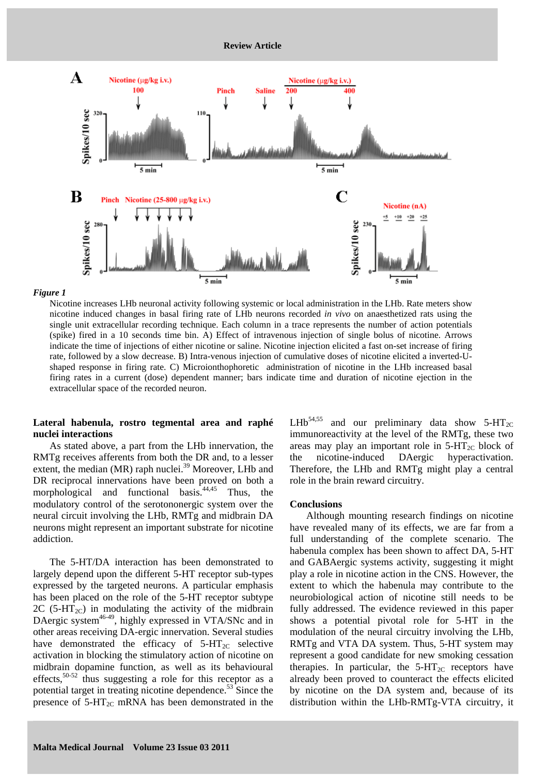

#### *Figure 1*

Nicotine increases LHb neuronal activity following systemic or local administration in the LHb. Rate meters show nicotine induced changes in basal firing rate of LHb neurons recorded *in vivo* on anaesthetized rats using the single unit extracellular recording technique. Each column in a trace represents the number of action potentials (spike) fired in a 10 seconds time bin. A) Effect of intravenous injection of single bolus of nicotine. Arrows indicate the time of injections of either nicotine or saline. Nicotine injection elicited a fast on-set increase of firing rate, followed by a slow decrease. B) Intra-venous injection of cumulative doses of nicotine elicited a inverted-Ushaped response in firing rate. C) Microionthophoretic administration of nicotine in the LHb increased basal firing rates in a current (dose) dependent manner; bars indicate time and duration of nicotine ejection in the extracellular space of the recorded neuron.

# **Lateral habenula, rostro tegmental area and raphé nuclei interactions**

As stated above, a part from the LHb innervation, the RMTg receives afferents from both the DR and, to a lesser extent, the median (MR) raph nuclei.<sup>39</sup> Moreover, LHb and DR reciprocal innervations have been proved on both a morphological and functional basis.<sup>44,45</sup> Thus, the modulatory control of the serotononergic system over the neural circuit involving the LHb, RMTg and midbrain DA neurons might represent an important substrate for nicotine addiction.

The 5-HT/DA interaction has been demonstrated to largely depend upon the different 5-HT receptor sub-types expressed by the targeted neurons. A particular emphasis has been placed on the role of the 5-HT receptor subtype 2C (5-HT<sub>2C</sub>) in modulating the activity of the midbrain DAergic system<sup>46-49</sup>, highly expressed in VTA/SNc and in other areas receiving DA-ergic innervation. Several studies have demonstrated the efficacy of  $5-HT_{2C}$  selective activation in blocking the stimulatory action of nicotine on midbrain dopamine function, as well as its behavioural effects,  $50-52$  thus suggesting a role for this receptor as a potential target in treating nicotine dependence. $53$  Since the presence of  $5-HT_{2C}$  mRNA has been demonstrated in the LHb<sup>54,55</sup> and our preliminary data show  $5-HT_{2C}$ immunoreactivity at the level of the RMTg, these two areas may play an important role in  $5-HT_{2C}$  block of the nicotine-induced DAergic hyperactivation. Therefore, the LHb and RMTg might play a central role in the brain reward circuitry.

## **Conclusions**

Although mounting research findings on nicotine have revealed many of its effects, we are far from a full understanding of the complete scenario. The habenula complex has been shown to affect DA, 5-HT and GABAergic systems activity, suggesting it might play a role in nicotine action in the CNS. However, the extent to which the habenula may contribute to the neurobiological action of nicotine still needs to be fully addressed. The evidence reviewed in this paper shows a potential pivotal role for 5-HT in the modulation of the neural circuitry involving the LHb, RMTg and VTA DA system. Thus, 5-HT system may represent a good candidate for new smoking cessation therapies. In particular, the  $5-HT_{2C}$  receptors have already been proved to counteract the effects elicited by nicotine on the DA system and, because of its distribution within the LHb-RMTg-VTA circuitry, it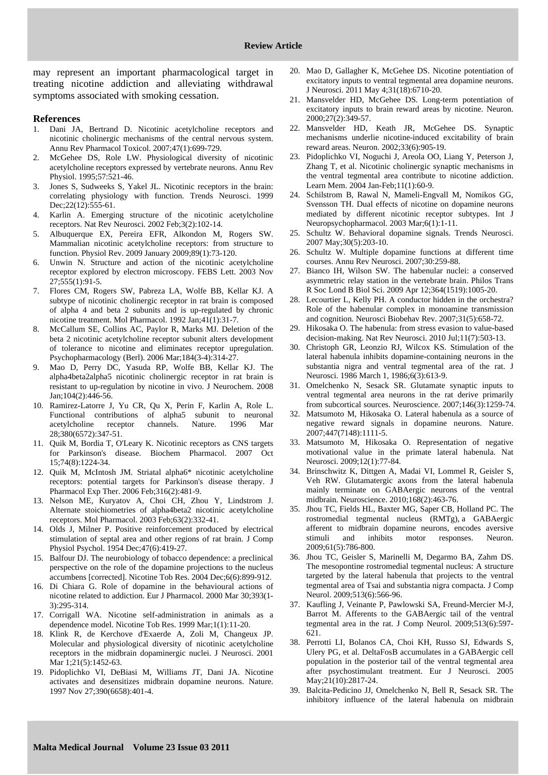may represent an important pharmacological target in treating nicotine addiction and alleviating withdrawal symptoms associated with smoking cessation.

#### **References**

- 1. Dani JA, Bertrand D. Nicotinic acetylcholine receptors and nicotinic cholinergic mechanisms of the central nervous system. Annu Rev Pharmacol Toxicol. 2007;47(1):699-729.
- 2. McGehee DS, Role LW. Physiological diversity of nicotinic acetylcholine receptors expressed by vertebrate neurons. Annu Rev Physiol. 1995;57:521-46.
- 3. Jones S, Sudweeks S, Yakel JL. Nicotinic receptors in the brain: correlating physiology with function. Trends Neurosci. 1999 Dec; 22(12): 555-61.
- 4. Karlin A. Emerging structure of the nicotinic acetylcholine receptors. Nat Rev Neurosci. 2002 Feb;3(2):102-14.
- 5. Albuquerque EX, Pereira EFR, Alkondon M, Rogers SW. Mammalian nicotinic acetylcholine receptors: from structure to function. Physiol Rev. 2009 January 2009;89(1):73-120.
- 6. Unwin N. Structure and action of the nicotinic acetylcholine receptor explored by electron microscopy. FEBS Lett. 2003 Nov 27;555(1):91-5.
- 7. Flores CM, Rogers SW, Pabreza LA, Wolfe BB, Kellar KJ. A subtype of nicotinic cholinergic receptor in rat brain is composed of alpha 4 and beta 2 subunits and is up-regulated by chronic nicotine treatment. Mol Pharmacol. 1992 Jan;41(1):31-7.
- 8. McCallum SE, Collins AC, Paylor R, Marks MJ. Deletion of the beta 2 nicotinic acetylcholine receptor subunit alters development of tolerance to nicotine and eliminates receptor upregulation. Psychopharmacology (Berl). 2006 Mar;184(3-4):314-27.
- 9. Mao D, Perry DC, Yasuda RP, Wolfe BB, Kellar KJ. The alpha4beta2alpha5 nicotinic cholinergic receptor in rat brain is resistant to up-regulation by nicotine in vivo. J Neurochem. 2008 Jan;104(2):446-56.
- 10. Ramirez-Latorre J, Yu CR, Qu X, Perin F, Karlin A, Role L. Functional contributions of alpha5 subunit to neuronal acetylcholine receptor channels. Nature. 1996 Mar 28;380(6572):347-51.
- 11. Quik M, Bordia T, O'Leary K. Nicotinic receptors as CNS targets for Parkinson's disease. Biochem Pharmacol. 2007 Oct 15;74(8):1224-34.
- 12. Quik M, McIntosh JM. Striatal alpha6\* nicotinic acetylcholine receptors: potential targets for Parkinson's disease therapy. J Pharmacol Exp Ther. 2006 Feb;316(2):481-9.
- 13. Nelson ME, Kuryatov A, Choi CH, Zhou Y, Lindstrom J. Alternate stoichiometries of alpha4beta2 nicotinic acetylcholine receptors. Mol Pharmacol. 2003 Feb;63(2):332-41.
- 14. Olds J, Milner P. Positive reinforcement produced by electrical stimulation of septal area and other regions of rat brain. J Comp Physiol Psychol. 1954 Dec;47(6):419-27.
- 15. Balfour DJ. The neurobiology of tobacco dependence: a preclinical perspective on the role of the dopamine projections to the nucleus accumbens [corrected]. Nicotine Tob Res. 2004 Dec;6(6):899-912.
- 16. Di Chiara G. Role of dopamine in the behavioural actions of nicotine related to addiction. Eur J Pharmacol. 2000 Mar 30;393(1- 3):295-314.
- 17. Corrigall WA. Nicotine self-administration in animals as a dependence model. Nicotine Tob Res. 1999 Mar;1(1):11-20.
- 18. Klink R, de Kerchove d'Exaerde A, Zoli M, Changeux JP. Molecular and physiological diversity of nicotinic acetylcholine receptors in the midbrain dopaminergic nuclei. J Neurosci. 2001 Mar 1;21(5):1452-63.
- 19. Pidoplichko VI, DeBiasi M, Williams JT, Dani JA. Nicotine activates and desensitizes midbrain dopamine neurons. Nature. 1997 Nov 27;390(6658):401-4.
- 20. Mao D, Gallagher K, McGehee DS. Nicotine potentiation of excitatory inputs to ventral tegmental area dopamine neurons. J Neurosci. 2011 May 4;31(18):6710-20.
- 21. Mansvelder HD, McGehee DS. Long-term potentiation of excitatory inputs to brain reward areas by nicotine. Neuron. 2000;27(2):349-57.
- 22. Mansvelder HD, Keath JR, McGehee DS. Synaptic mechanisms underlie nicotine-induced excitability of brain reward areas. Neuron. 2002;33(6):905-19.
- 23. Pidoplichko VI, Noguchi J, Areola OO, Liang Y, Peterson J, Zhang T, et al. Nicotinic cholinergic synaptic mechanisms in the ventral tegmental area contribute to nicotine addiction. Learn Mem. 2004 Jan-Feb;11(1):60-9.
- 24. Schilstrom B, Rawal N, Mameli-Engvall M, Nomikos GG, Svensson TH. Dual effects of nicotine on dopamine neurons mediated by different nicotinic receptor subtypes. Int J Neuropsychopharmacol. 2003 Mar;6(1):1-11.
- 25. Schultz W. Behavioral dopamine signals. Trends Neurosci. 2007 May;30(5):203-10.
- 26. Schultz W. Multiple dopamine functions at different time courses. Annu Rev Neurosci. 2007;30:259-88.
- 27. Bianco IH, Wilson SW. The habenular nuclei: a conserved asymmetric relay station in the vertebrate brain. Philos Trans R Soc Lond B Biol Sci. 2009 Apr 12;364(1519):1005-20.
- 28. Lecourtier L, Kelly PH. A conductor hidden in the orchestra? Role of the habenular complex in monoamine transmission and cognition. Neurosci Biobehav Rev. 2007;31(5):658-72.
- 29. Hikosaka O. The habenula: from stress evasion to value-based decision-making. Nat Rev Neurosci. 2010 Jul;11(7):503-13.
- 30. Christoph GR, Leonzio RJ, Wilcox KS. Stimulation of the lateral habenula inhibits dopamine-containing neurons in the substantia nigra and ventral tegmental area of the rat. J Neurosci. 1986 March 1, 1986;6(3):613-9.
- 31. Omelchenko N, Sesack SR. Glutamate synaptic inputs to ventral tegmental area neurons in the rat derive primarily from subcortical sources. Neuroscience. 2007;146(3):1259-74.
- 32. Matsumoto M, Hikosaka O. Lateral habenula as a source of negative reward signals in dopamine neurons. Nature. 2007;447(7148):1111-5.
- 33. Matsumoto M, Hikosaka O. Representation of negative motivational value in the primate lateral habenula. Nat Neurosci. 2009;12(1):77-84.
- 34. Brinschwitz K, Dittgen A, Madai VI, Lommel R, Geisler S, Veh RW. Glutamatergic axons from the lateral habenula mainly terminate on GABAergic neurons of the ventral midbrain. Neuroscience. 2010;168(2):463-76.
- 35. Jhou TC, Fields HL, Baxter MG, Saper CB, Holland PC. The rostromedial tegmental nucleus (RMTg), a GABAergic afferent to midbrain dopamine neurons, encodes aversive stimuli and inhibits motor responses. Neuron. 2009;61(5):786-800.
- 36. Jhou TC, Geisler S, Marinelli M, Degarmo BA, Zahm DS. The mesopontine rostromedial tegmental nucleus: A structure targeted by the lateral habenula that projects to the ventral tegmental area of Tsai and substantia nigra compacta. J Comp Neurol. 2009;513(6):566-96.
- 37. Kaufling J, Veinante P, Pawlowski SA, Freund-Mercier M-J, Barrot M. Afferents to the GABAergic tail of the ventral tegmental area in the rat. J Comp Neurol. 2009;513(6):597- 621.
- 38. Perrotti LI, Bolanos CA, Choi KH, Russo SJ, Edwards S, Ulery PG, et al. DeltaFosB accumulates in a GABAergic cell population in the posterior tail of the ventral tegmental area after psychostimulant treatment. Eur J Neurosci. 2005 May;21(10):2817-24.
- 39. Balcita-Pedicino JJ, Omelchenko N, Bell R, Sesack SR. The inhibitory influence of the lateral habenula on midbrain